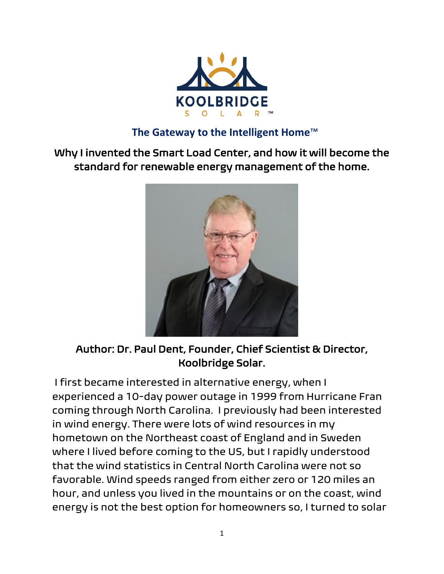

#### **The Gateway to the Intelligent Home**™

Why I invented the Smart Load Center, and how it will become the standard for renewable energy management of the home.



Author: Dr. Paul Dent, Founder, Chief Scientist & Director, Koolbridge Solar.

 I first became interested in alternative energy, when I experienced a 10-day power outage in 1999 from Hurricane Fran coming through North Carolina. I previously had been interested in wind energy. There were lots of wind resources in my hometown on the Northeast coast of England and in Sweden where I lived before coming to the US, but I rapidly understood that the wind statistics in Central North Carolina were not so favorable. Wind speeds ranged from either zero or 120 miles an hour, and unless you lived in the mountains or on the coast, wind energy is not the best option for homeowners so, I turned to solar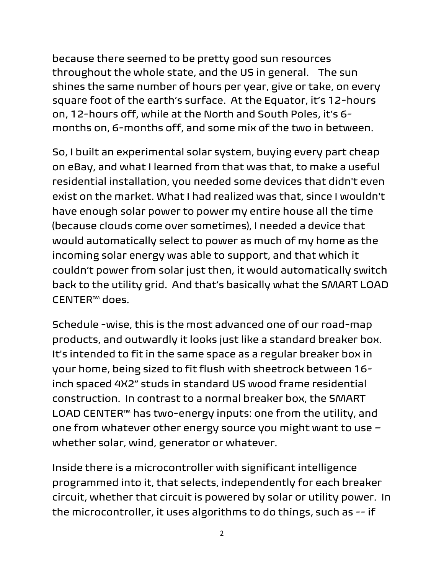because there seemed to be pretty good sun resources throughout the whole state, and the US in general. The sun shines the same number of hours per year, give or take, on every square foot of the earth's surface. At the Equator, it's 12-hours on, 12-hours off, while at the North and South Poles, it's 6 months on, 6-months off, and some mix of the two in between.

So, I built an experimental solar system, buying every part cheap on eBay, and what I learned from that was that, to make a useful residential installation, you needed some devices that didn't even exist on the market. What I had realized was that, since I wouldn't have enough solar power to power my entire house all the time (because clouds come over sometimes), I needed a device that would automatically select to power as much of my home as the incoming solar energy was able to support, and that which it couldn't power from solar just then, it would automatically switch back to the utility grid. And that's basically what the SMART LOAD CENTER™ does.

Schedule -wise, this is the most advanced one of our road-map products, and outwardly it looks just like a standard breaker box. It's intended to fit in the same space as a regular breaker box in your home, being sized to fit flush with sheetrock between 16 inch spaced 4X2" studs in standard US wood frame residential construction. In contrast to a normal breaker box, the SMART LOAD CENTER™ has two-energy inputs: one from the utility, and one from whatever other energy source you might want to use – whether solar, wind, generator or whatever.

Inside there is a microcontroller with significant intelligence programmed into it, that selects, independently for each breaker circuit, whether that circuit is powered by solar or utility power. In the microcontroller, it uses algorithms to do things, such as -- if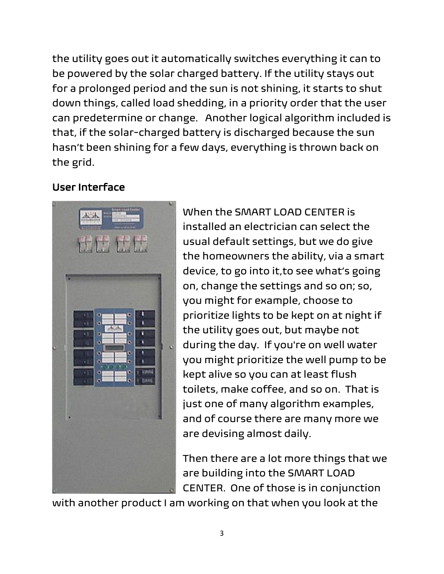the utility goes out it automatically switches everything it can to be powered by the solar charged battery. If the utility stays out for a prolonged period and the sun is not shining, it starts to shut down things, called load shedding, in a priority order that the user can predetermine or change. Another logical algorithm included is that, if the solar-charged battery is discharged because the sun hasn't been shining for a few days, everything is thrown back on the grid.

### User Interface



When the SMART LOAD CENTER is installed an electrician can select the usual default settings, but we do give the homeowners the ability, via a smart device, to go into it,to see what's going on, change the settings and so on; so, you might for example, choose to prioritize lights to be kept on at night if the utility goes out, but maybe not during the day. If you're on well water you might prioritize the well pump to be kept alive so you can at least flush toilets, make coffee, and so on. That is just one of many algorithm examples, and of course there are many more we are devising almost daily.

Then there are a lot more things that we are building into the SMART LOAD CENTER. One of those is in conjunction

with another product I am working on that when you look at the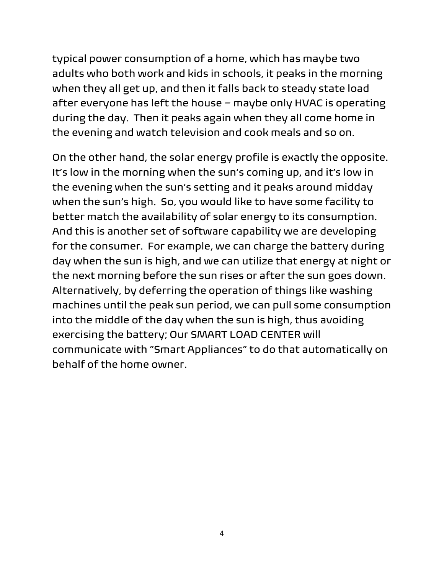typical power consumption of a home, which has maybe two adults who both work and kids in schools, it peaks in the morning when they all get up, and then it falls back to steady state load after everyone has left the house – maybe only HVAC is operating during the day. Then it peaks again when they all come home in the evening and watch television and cook meals and so on.

On the other hand, the solar energy profile is exactly the opposite. It's low in the morning when the sun's coming up, and it's low in the evening when the sun's setting and it peaks around midday when the sun's high. So, you would like to have some facility to better match the availability of solar energy to its consumption. And this is another set of software capability we are developing for the consumer. For example, we can charge the battery during day when the sun is high, and we can utilize that energy at night or the next morning before the sun rises or after the sun goes down. Alternatively, by deferring the operation of things like washing machines until the peak sun period, we can pull some consumption into the middle of the day when the sun is high, thus avoiding exercising the battery; Our SMART LOAD CENTER will communicate with "Smart Appliances" to do that automatically on behalf of the home owner.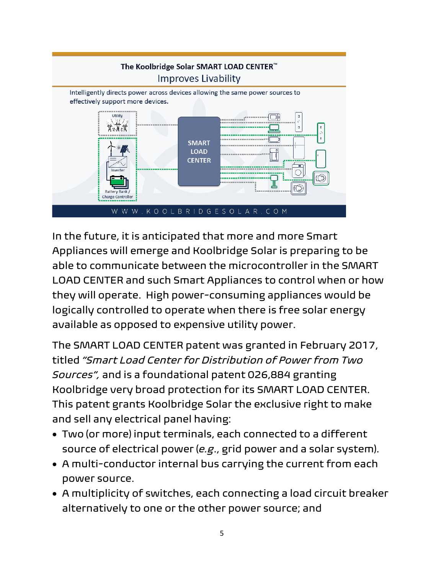

In the future, it is anticipated that more and more Smart Appliances will emerge and Koolbridge Solar is preparing to be able to communicate between the microcontroller in the SMART LOAD CENTER and such Smart Appliances to control when or how they will operate. High power-consuming appliances would be logically controlled to operate when there is free solar energy available as opposed to expensive utility power.

The SMART LOAD CENTER patent was granted in February 2017, titled *"Smart Load Center for Distribution of Power from Two Sources",* and is a foundational patent 026,884 granting Koolbridge very broad protection for its SMART LOAD CENTER. This patent grants Koolbridge Solar the exclusive right to make and sell any electrical panel having:

- Two (or more) input terminals, each connected to a different source of electrical power (*e.g*., grid power and a solar system).
- A multi-conductor internal bus carrying the current from each power source.
- A multiplicity of switches, each connecting a load circuit breaker alternatively to one or the other power source; and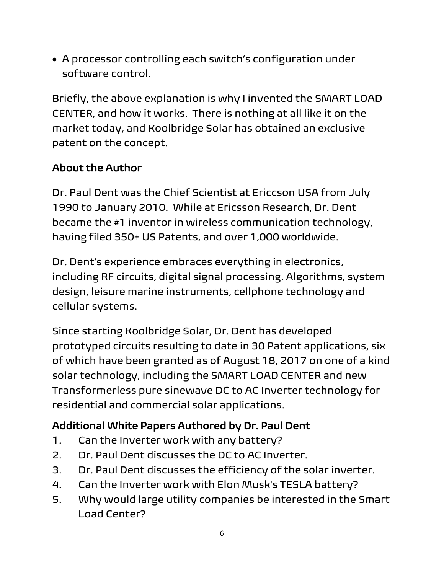• A processor controlling each switch's configuration under software control.

Briefly, the above explanation is why I invented the SMART LOAD CENTER, and how it works. There is nothing at all like it on the market today, and Koolbridge Solar has obtained an exclusive patent on the concept.

### About the Author

Dr. Paul Dent was the Chief Scientist at Ericcson USA from July 1990 to January 2010. While at Ericsson Research, Dr. Dent became the #1 inventor in wireless communication technology, having filed 350+ US Patents, and over 1,000 worldwide.

Dr. Dent's experience embraces everything in electronics, including RF circuits, digital signal processing. Algorithms, system design, leisure marine instruments, cellphone technology and cellular systems.

Since starting Koolbridge Solar, Dr. Dent has developed prototyped circuits resulting to date in 30 Patent applications, six of which have been granted as of August 18, 2017 on one of a kind solar technology, including the SMART LOAD CENTER and new Transformerless pure sinewave DC to AC Inverter technology for residential and commercial solar applications.

## Additional White Papers Authored by Dr. Paul Dent

- 1. Can the Inverter work with any battery?
- 2. Dr. Paul Dent discusses the DC to AC Inverter.
- 3. Dr. Paul Dent discusses the [efficiency](https://www.youtube.com/watch?v=1WYPx03Fo_U&index=3&list=PL3Ih-18omm2yopOdNzL138lMwehmVpzID) of the solar inverter.
- 4. Can the Inverter work with Elon Musk's TESLA [battery?](https://www.youtube.com/watch?v=912Spw-dBKo&index=4&list=PL3Ih-18omm2yopOdNzL138lMwehmVpzID)
- 5. Why would large utility [companies](https://www.youtube.com/watch?v=NAZ2FgKAGhU&index=5&list=PL3Ih-18omm2yopOdNzL138lMwehmVpzID) be interested in the Smart Load [Center?](https://www.youtube.com/watch?v=NAZ2FgKAGhU&index=5&list=PL3Ih-18omm2yopOdNzL138lMwehmVpzID)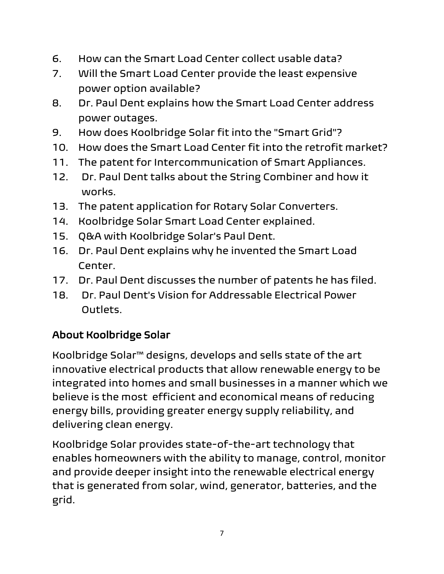- 6. How can the Smart Load [Center](https://www.youtube.com/watch?v=5JUAkNpDRdE&index=6&list=PL3Ih-18omm2yopOdNzL138lMwehmVpzID) collect usable data?
- 7. Will the Smart Load Center provide the least [expensive](https://www.youtube.com/watch?v=wUWBA1-woXQ&index=7&list=PL3Ih-18omm2yopOdNzL138lMwehmVpzID) power option [available?](https://www.youtube.com/watch?v=wUWBA1-woXQ&index=7&list=PL3Ih-18omm2yopOdNzL138lMwehmVpzID)
- 8. Dr. Paul Dent [explains](https://www.youtube.com/watch?v=RXn6V7_3p_8&index=8&list=PL3Ih-18omm2yopOdNzL138lMwehmVpzID) how the Smart Load Center address power [outages.](https://www.youtube.com/watch?v=RXn6V7_3p_8&index=8&list=PL3Ih-18omm2yopOdNzL138lMwehmVpzID)
- 9. How does [Koolbridge](https://www.youtube.com/watch?v=JCdXPhhChxY&index=9&list=PL3Ih-18omm2yopOdNzL138lMwehmVpzID) Solar fit into the "Smart Grid"?
- 10. How does the Smart Load Center fit into the retrofit [market?](https://www.youtube.com/watch?v=eRHwtoAhLUA&index=12&list=PL3Ih-18omm2yopOdNzL138lMwehmVpzID)
- 11. The patent for [Intercommunication](https://www.youtube.com/watch?v=ovQ_0SnD1h4&index=13&list=PL3Ih-18omm2yopOdNzL138lMwehmVpzID) of Smart Appliances.
- 12. Dr. Paul Dent talks about the String [Combiner](https://www.youtube.com/watch?v=wrYdg7Bg8K0&index=14&list=PL3Ih-18omm2yopOdNzL138lMwehmVpzID) and how it [works.](https://www.youtube.com/watch?v=wrYdg7Bg8K0&index=14&list=PL3Ih-18omm2yopOdNzL138lMwehmVpzID)
- 13. The patent application for Rotary Solar [Converters.](https://www.youtube.com/watch?v=5lAkDPE0VWw&index=15&list=PL3Ih-18omm2yopOdNzL138lMwehmVpzID)
- 14. Koolbridge Solar Smart Load Center explained.
- 15. Q&A with Koolbridge Solar's Paul Dent.
- 16. Dr. Paul Dent explains why he [invented](https://www.youtube.com/watch?v=hrHD0zPG1F0&index=11&list=PL3Ih-18omm2yopOdNzL138lMwehmVpzID) the Smart Load [Center.](https://www.youtube.com/watch?v=hrHD0zPG1F0&index=11&list=PL3Ih-18omm2yopOdNzL138lMwehmVpzID)
- 17. Dr. Paul Dent [discusses](https://www.youtube.com/watch?v=cNB4DrzzXZ0&index=10&list=PL3Ih-18omm2yopOdNzL138lMwehmVpzID) the number of patents he has filed.
- 18. Dr. Paul Dent's Vision for [Addressable](https://www.youtube.com/watch?v=o_0Fsrro8bk&index=16&list=PL3Ih-18omm2yopOdNzL138lMwehmVpzID) Electrical Power [Outlets.](https://www.youtube.com/watch?v=o_0Fsrro8bk&index=16&list=PL3Ih-18omm2yopOdNzL138lMwehmVpzID)

# About Koolbridge Solar

Koolbridge Solar™ designs, develops and sells state of the art innovative electrical products that allow renewable energy to be integrated into homes and small businesses in a manner which we believe is the most efficient and economical means of reducing energy bills, providing greater energy supply reliability, and delivering clean energy.

Koolbridge Solar provides state-of-the-art technology that enables homeowners with the ability to manage, control, monitor and provide deeper insight into the renewable electrical energy that is generated from solar, wind, generator, batteries, and the grid.